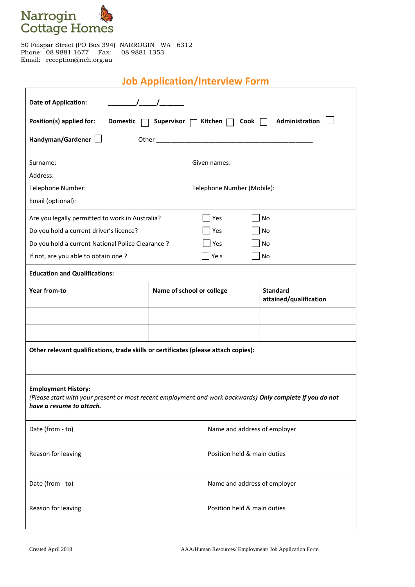

 $\overline{1}$ 

50 Felspar Street (PO Box 394) NARROGIN WA 6312 Phone: 08 9881 1677 Fax: 08 9881 1353 Email: reception@nch.org.au

## **Job Application/Interview Form**

 $\overline{\phantom{a}}$ 

| <b>Date of Application:</b>                                                                                                                                         |                                                                                                               |                              |                                           |  |  |  |
|---------------------------------------------------------------------------------------------------------------------------------------------------------------------|---------------------------------------------------------------------------------------------------------------|------------------------------|-------------------------------------------|--|--|--|
| Administration<br>Position(s) applied for:<br><b>Domestic</b><br>Supervisor<br>Kitchen $\Box$ Cook                                                                  |                                                                                                               |                              |                                           |  |  |  |
| Handyman/Gardener                                                                                                                                                   | Other and the contract of the contract of the contract of the contract of the contract of the contract of the |                              |                                           |  |  |  |
| Surname:                                                                                                                                                            |                                                                                                               | Given names:                 |                                           |  |  |  |
| Address:                                                                                                                                                            |                                                                                                               |                              |                                           |  |  |  |
| Telephone Number:                                                                                                                                                   | Telephone Number (Mobile):                                                                                    |                              |                                           |  |  |  |
| Email (optional):                                                                                                                                                   |                                                                                                               |                              |                                           |  |  |  |
| Are you legally permitted to work in Australia?<br>Yes<br>No                                                                                                        |                                                                                                               |                              |                                           |  |  |  |
| Do you hold a current driver's licence?<br>Yes<br>No                                                                                                                |                                                                                                               |                              |                                           |  |  |  |
| Do you hold a current National Police Clearance ?<br><b>No</b><br>Yes                                                                                               |                                                                                                               |                              |                                           |  |  |  |
| If not, are you able to obtain one?                                                                                                                                 |                                                                                                               | $ $ Ye s                     | No                                        |  |  |  |
| <b>Education and Qualifications:</b>                                                                                                                                |                                                                                                               |                              |                                           |  |  |  |
| Year from-to                                                                                                                                                        | Name of school or college                                                                                     |                              | <b>Standard</b><br>attained/qualification |  |  |  |
|                                                                                                                                                                     |                                                                                                               |                              |                                           |  |  |  |
|                                                                                                                                                                     |                                                                                                               |                              |                                           |  |  |  |
| Other relevant qualifications, trade skills or certificates (please attach copies):                                                                                 |                                                                                                               |                              |                                           |  |  |  |
| <b>Employment History:</b><br>(Please start with your present or most recent employment and work backwards) Only complete if you do not<br>have a resume to attach. |                                                                                                               |                              |                                           |  |  |  |
| Date (from - to)                                                                                                                                                    |                                                                                                               | Name and address of employer |                                           |  |  |  |
| Reason for leaving                                                                                                                                                  |                                                                                                               | Position held & main duties  |                                           |  |  |  |
| Date (from - to)                                                                                                                                                    |                                                                                                               | Name and address of employer |                                           |  |  |  |
| Reason for leaving                                                                                                                                                  |                                                                                                               | Position held & main duties  |                                           |  |  |  |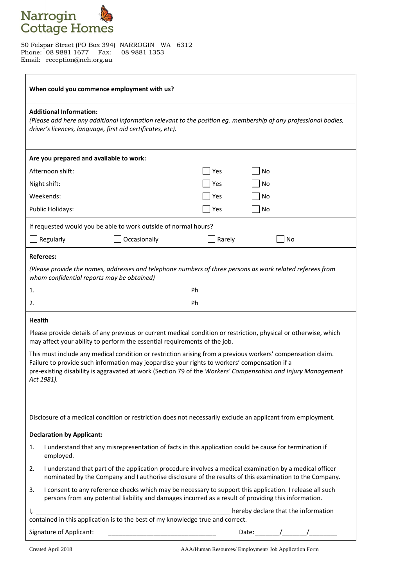

50 Felspar Street (PO Box 394) NARROGIN WA 6312 Phone: 08 9881 1677 Fax: 08 9881 1353 Email: reception@nch.org.au

| When could you commence employment with us?                                                                                                                                                                                                                                                                                               |                                                                                                                                                                                                                   |  |  |  |  |  |
|-------------------------------------------------------------------------------------------------------------------------------------------------------------------------------------------------------------------------------------------------------------------------------------------------------------------------------------------|-------------------------------------------------------------------------------------------------------------------------------------------------------------------------------------------------------------------|--|--|--|--|--|
| <b>Additional Information:</b><br>(Please add here any additional information relevant to the position eg. membership of any professional bodies,<br>driver's licences, language, first aid certificates, etc).                                                                                                                           |                                                                                                                                                                                                                   |  |  |  |  |  |
|                                                                                                                                                                                                                                                                                                                                           | Are you prepared and available to work:                                                                                                                                                                           |  |  |  |  |  |
|                                                                                                                                                                                                                                                                                                                                           | Afternoon shift:<br>Yes<br>No                                                                                                                                                                                     |  |  |  |  |  |
|                                                                                                                                                                                                                                                                                                                                           | Night shift:<br>Yes<br>No                                                                                                                                                                                         |  |  |  |  |  |
|                                                                                                                                                                                                                                                                                                                                           | Weekends:<br>Yes<br>No                                                                                                                                                                                            |  |  |  |  |  |
|                                                                                                                                                                                                                                                                                                                                           | Yes<br>Public Holidays:<br>No                                                                                                                                                                                     |  |  |  |  |  |
| If requested would you be able to work outside of normal hours?                                                                                                                                                                                                                                                                           |                                                                                                                                                                                                                   |  |  |  |  |  |
|                                                                                                                                                                                                                                                                                                                                           | Regularly<br>Occasionally<br>Rarely<br>No                                                                                                                                                                         |  |  |  |  |  |
|                                                                                                                                                                                                                                                                                                                                           | <b>Referees:</b>                                                                                                                                                                                                  |  |  |  |  |  |
| (Please provide the names, addresses and telephone numbers of three persons as work related referees from<br>whom confidential reports may be obtained)                                                                                                                                                                                   |                                                                                                                                                                                                                   |  |  |  |  |  |
| 1.                                                                                                                                                                                                                                                                                                                                        | Ph                                                                                                                                                                                                                |  |  |  |  |  |
| 2.                                                                                                                                                                                                                                                                                                                                        | Ph                                                                                                                                                                                                                |  |  |  |  |  |
|                                                                                                                                                                                                                                                                                                                                           | <b>Health</b>                                                                                                                                                                                                     |  |  |  |  |  |
| Please provide details of any previous or current medical condition or restriction, physical or otherwise, which<br>may affect your ability to perform the essential requirements of the job.                                                                                                                                             |                                                                                                                                                                                                                   |  |  |  |  |  |
| This must include any medical condition or restriction arising from a previous workers' compensation claim.<br>Failure to provide such information may jeopardise your rights to workers' compensation if a<br>pre-existing disability is aggravated at work (Section 79 of the Workers' Compensation and Injury Management<br>Act 1981). |                                                                                                                                                                                                                   |  |  |  |  |  |
|                                                                                                                                                                                                                                                                                                                                           | Disclosure of a medical condition or restriction does not necessarily exclude an applicant from employment.                                                                                                       |  |  |  |  |  |
|                                                                                                                                                                                                                                                                                                                                           | <b>Declaration by Applicant:</b>                                                                                                                                                                                  |  |  |  |  |  |
| 1.                                                                                                                                                                                                                                                                                                                                        | I understand that any misrepresentation of facts in this application could be cause for termination if<br>employed.                                                                                               |  |  |  |  |  |
| 2.                                                                                                                                                                                                                                                                                                                                        | I understand that part of the application procedure involves a medical examination by a medical officer<br>nominated by the Company and I authorise disclosure of the results of this examination to the Company. |  |  |  |  |  |
| 3.                                                                                                                                                                                                                                                                                                                                        | I consent to any reference checks which may be necessary to support this application. I release all such<br>persons from any potential liability and damages incurred as a result of providing this information.  |  |  |  |  |  |
|                                                                                                                                                                                                                                                                                                                                           | hereby declare that the information<br>l, _________                                                                                                                                                               |  |  |  |  |  |
| contained in this application is to the best of my knowledge true and correct.                                                                                                                                                                                                                                                            |                                                                                                                                                                                                                   |  |  |  |  |  |
|                                                                                                                                                                                                                                                                                                                                           | Signature of Applicant:<br>Date: $\angle$ /                                                                                                                                                                       |  |  |  |  |  |